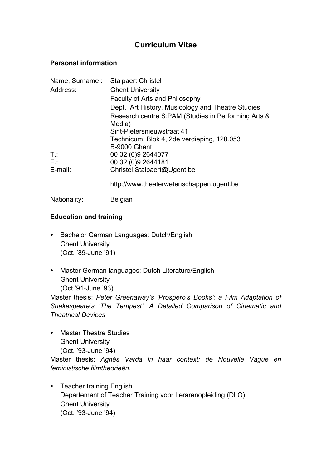# **Curriculum Vitae**

#### **Personal information**

| Name, Surname: | <b>Stalpaert Christel</b>                           |
|----------------|-----------------------------------------------------|
| Address:       | <b>Ghent University</b>                             |
|                | Faculty of Arts and Philosophy                      |
|                | Dept. Art History, Musicology and Theatre Studies   |
|                | Research centre S:PAM (Studies in Performing Arts & |
|                | Media)                                              |
|                | Sint-Pietersnieuwstraat 41                          |
|                | Technicum, Blok 4, 2de verdieping, 120.053          |
|                | B-9000 Ghent                                        |
| $T$ :          | 00 32 (0) 9 2644077                                 |
| $F$ .:         | 00 32 (0) 9 2644181                                 |
| E-mail:        | Christel.Stalpaert@Ugent.be                         |
|                | http://www.theaterwetenschappen.ugent.be            |
| Nationality:   | <b>Belgian</b>                                      |

### **Education and training**

- Bachelor German Languages: Dutch/English Ghent University (Oct. '89-June '91)
- Master German languages: Dutch Literature/English Ghent University (Oct '91-June '93)

Master thesis: *Peter Greenaway's 'Prospero's Books': a Film Adaptation of Shakespeare's 'The Tempest'. A Detailed Comparison of Cinematic and Theatrical Devices*

• Master Theatre Studies Ghent University (Oct. '93-June '94)

Master thesis: *Agnès Varda in haar context: de Nouvelle Vague en feministische filmtheorieën.*

• Teacher training English Departement of Teacher Training voor Lerarenopleiding (DLO) Ghent University (Oct. '93-June '94)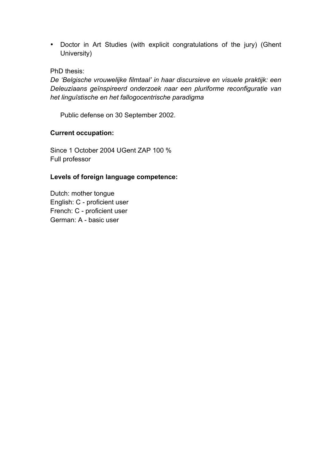• Doctor in Art Studies (with explicit congratulations of the jury) (Ghent University)

#### PhD thesis:

*De 'Belgische vrouwelijke filmtaal' in haar discursieve en visuele praktijk: een Deleuziaans geïnspireerd onderzoek naar een pluriforme reconfiguratie van het linguïstische en het fallogocentrische paradigma* 

Public defense on 30 September 2002.

#### **Current occupation:**

Since 1 October 2004 UGent ZAP 100 % Full professor

#### **Levels of foreign language competence:**

Dutch: mother tongue English: C - proficient user French: C - proficient user German: A - basic user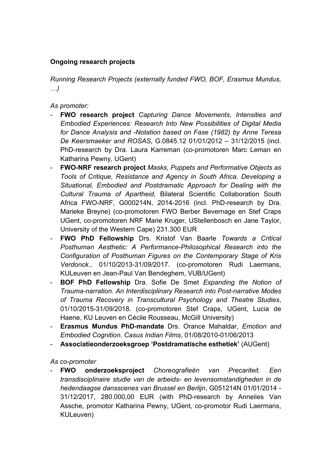### **Ongoing research projects**

*Running Research Projects (externally funded FWO, BOF, Erasmus Mundus, …)* 

*As promoter:*

- **FWO research project** *Capturing Dance Movements, Intensities and Embodied Experiences: Research Into New Possibilities of Digital Media for Dance Analysis and -Notation based on Fase (1982) by Anne Teresa De Keersmaeker and ROSAS*, G.0845.12 01/01/2012 – 31/12/2015 (incl. PhD-research by Dra. Laura Karreman (co-promotoren Marc Leman en Katharina Pewny, UGent)
- **FWO-NRF research project** *Masks, Puppets and Performative Objects as Tools of Critique, Resistance and Agency in South Africa. Developing a Situational, Embodied and Postdramatic Approach for Dealing with the Cultural Trauma of Apartheid*, Bilateral Scientific Collaboration South Africa FWO-NRF, G000214N, 2014-2016 (incl. PhD-research by Dra. Marieke Breyne) (co-promotoren FWO Berber Bevernage en Stef Craps UGent, co-promotoren NRF Marie Kruger, UStellenbosch en Jane Taylor, University of the Western Cape) 231.300 EUR
- **FWO PhD Fellowship** Drs. Kristof Van Baarle *Towards a Critical Posthuman Aesthetic: A Performance-Philosophical Research into the Configuration of Posthuman Figures on the Contemporary Stage of Kris Verdonck*., 01/10/2013-31/09/2017. (co-promotoren Rudi Laermans, KULeuven en Jean-Paul Van Bendeghem, VUB/UGent)
- **BOF PhD Fellowship** Dra. Sofie De Smet *Expanding the Notion of Trauma-narration. An Interdisciplinary Research into Post-narrative Modes of Trauma Recovery in Transcultural Psychology and Theatre Studies*, 01/10/2015-31/09/2018. (co-promotoren Stef Craps, UGent, Lucia de Haene, KU Leuven en Cécile Rousseau, McGill University)
- **Erasmus Mundus PhD-mandate** Drs. Orance Mahaldar, *Emotion and Embodied Cognition. Casus Indian Films*, 01/08/2010-01/06/2013
- **Associatieonderzoeksgroep 'Postdramatische esthetiek'** (AUGent)

*As co-promoter* 

- **FWO onderzoeksproject** *Choreografieën van Precariteit. Een transdisciplinaire studie van de arbeids- en levensomstandigheden in de hedendaagse dansscenes van Brussel en Berlijn*, G051214N 01/01/2014 - 31/12/2017, 280.000,00 EUR (with PhD-research by Annelies Van Assche, promotor Katharina Pewny, UGent, co-promotor Rudi Laermans, KULeuven)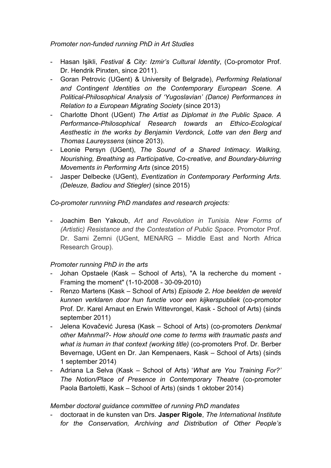*Promoter non-funded running PhD in Art Studies* 

- Hasan Işikli, *Festival & City: Izmir's Cultural Identity*, (Co-promotor Prof. Dr. Hendrik Pinxten, since 2011).
- Goran Petrovic (UGent) & University of Belgrade), *Performing Relational and Contingent Identities on the Contemporary European Scene. A Political-Philosophical Analysis of 'Yugoslavian' (Dance) Performances in Relation to a European Migrating Society* (since 2013)
- Charlotte Dhont (UGent) *The Artist as Diplomat in the Public Space. A Performance-Philosophical Research towards an Ethico-Ecological Aesthestic in the works by Benjamin Verdonck, Lotte van den Berg and Thomas Laureyssens* (since 2013).
- Leonie Persyn (UGent), *The Sound of a Shared Intimacy. Walking, Nourishing, Breathing as Participative, Co-creative, and Boundary-blurring Movements in Performing Arts* (since 2015)
- Jasper Delbecke (UGent), *Eventization in Contemporary Performing Arts. (Deleuze, Badiou and Stiegler)* (since 2015)

*Co-promoter runnning PhD mandates and research projects:*

- Joachim Ben Yakoub, *Art and Revolution in Tunisia. New Forms of (Artistic) Resistance and the Contestation of Public Space*. Promotor Prof. Dr. Sami Zemni (UGent, MENARG – Middle East and North Africa Research Group).

## *Promoter running PhD in the arts*

- Johan Opstaele (Kask School of Arts), "A la recherche du moment Framing the moment" (1-10-2008 - 30-09-2010)
- Renzo Martens (Kask School of Arts) *Episode 2. Hoe beelden de wereld kunnen verklaren door hun functie voor een kijkerspubliek* (co-promotor Prof. Dr. Karel Arnaut en Erwin Wittevrongel, Kask - School of Arts) (sinds september 2011)
- Jelena Kovačević Juresa (Kask School of Arts) (co-promoters *Denkmal other Mahnmal?- How should one come to terms with traumatic pasts and what is human in that context (working title)* (co-promoters Prof. Dr. Berber Bevernage, UGent en Dr. Jan Kempenaers, Kask – School of Arts) (sinds 1 september 2014)
- Adriana La Selva (Kask School of Arts) '*What are You Training For?' The Notion/Place of Presence in Contemporary Theatre* (co-promoter Paola Bartoletti, Kask – School of Arts) (sinds 1 oktober 2014)

### *Member doctoral guidance committee of running PhD mandates*

- doctoraat in de kunsten van Drs. **Jasper Rigole**, *The International Institute for the Conservation, Archiving and Distribution of Other People's*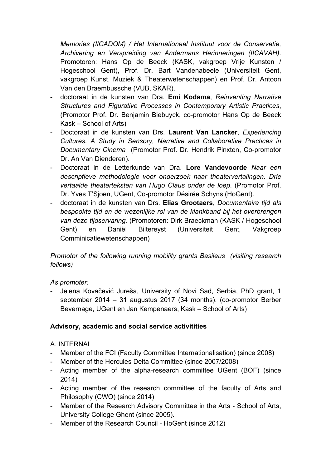*Memories (IICADOM) / Het Internationaal Instituut voor de Conservatie, Archivering en Verspreiding van Andermans Herinneringen (IICAVAH)*. Promotoren: Hans Op de Beeck (KASK, vakgroep Vrije Kunsten / Hogeschool Gent), Prof. Dr. Bart Vandenabeele (Universiteit Gent, vakgroep Kunst, Muziek & Theaterwetenschappen) en Prof. Dr. Antoon Van den Braembussche (VUB, SKAR).

- doctoraat in de kunsten van Dra. **Emi Kodama**, *Reinventing Narrative Structures and Figurative Processes in Contemporary Artistic Practices*, (Promotor Prof. Dr. Benjamin Biebuyck, co-promotor Hans Op de Beeck Kask – School of Arts)
- Doctoraat in de kunsten van Drs. **Laurent Van Lancker**, *Experiencing Cultures. A Study in Sensory, Narrative and Collaborative Practices in Documentary Cinema* (Promotor Prof. Dr. Hendrik Pinxten, Co-promotor Dr. An Van Dienderen).
- Doctoraat in de Letterkunde van Dra. **Lore Vandevoorde** *Naar een descriptieve methodologie voor onderzoek naar theatervertalingen. Drie vertaalde theaterteksten van Hugo Claus onder de loep*. (Promotor Prof. Dr. Yves T'Sjoen, UGent, Co-promotor Désirée Schyns (HoGent).
- doctoraat in de kunsten van Drs. **Elias Grootaers**, *Documentaire tijd als bespookte tijd en de wezenlijke rol van de klankband bij het overbrengen van deze tijdservaring.* (Promotoren: Dirk Braeckman (KASK / Hogeschool Gent) en Daniël Biltereyst (Universiteit Gent, Vakgroep Comminicatiewetenschappen)

*Promotor of the following running mobility grants Basileus (visiting research fellows)* 

### *As promoter:*

- Jelena Kovačević Jureša, University of Novi Sad, Serbia, PhD grant, 1 september 2014 – 31 augustus 2017 (34 months). (co-promotor Berber Bevernage, UGent en Jan Kempenaers, Kask – School of Arts)

## **Advisory, academic and social service activitities**

- A. INTERNAL
- Member of the FCI (Faculty Committee Internationalisation) (since 2008)
- Member of the Hercules Delta Committee (since 2007/2008)
- Acting member of the alpha-research committee UGent (BOF) (since 2014)
- Acting member of the research committee of the faculty of Arts and Philosophy (CWO) (since 2014)
- Member of the Research Advisory Committee in the Arts School of Arts, University College Ghent (since 2005).
- Member of the Research Council HoGent (since 2012)